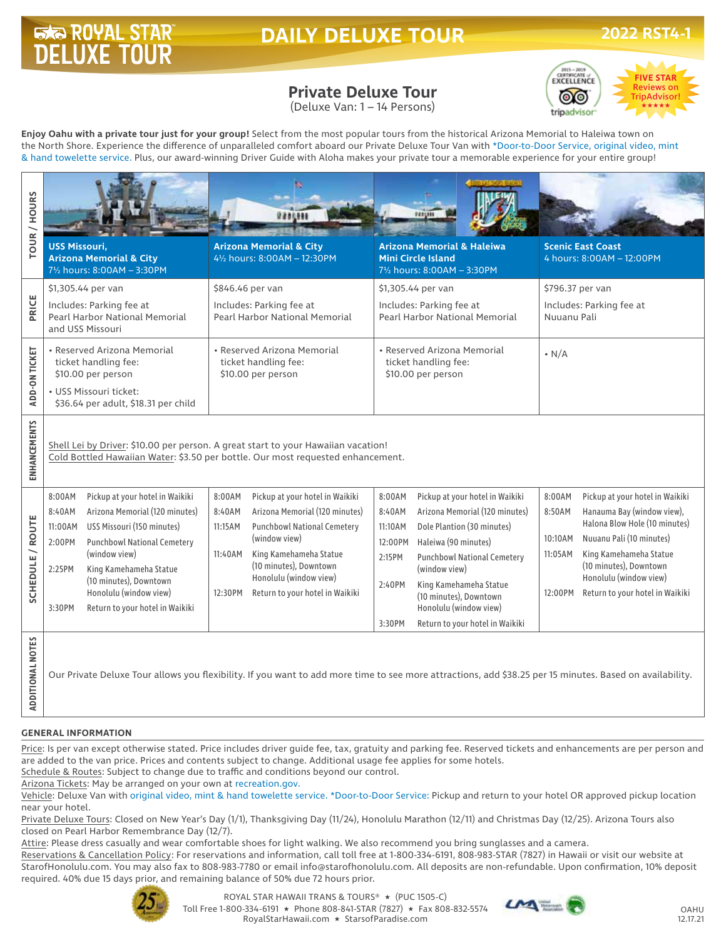# **DAILY DELUXE TOUR**

# **Private Deluxe Tour**

(Deluxe Van: 1 – 14 Persons)



**Enjoy Oahu with a private tour just for your group!** Select from the most popular tours from the historical Arizona Memorial to Haleiwa town on the North Shore. Experience the difference of unparalleled comfort aboard our Private Deluxe Tour Van with \*Door-to-Door Service, original video, mint & hand towelette service. Plus, our award-winning Driver Guide with Aloha makes your private tour a memorable experience for your entire group!

| <b>TOUR / HOURS</b>     | <b>USS Missouri,</b>                                                                                                                                                 | <b>Arizona Memorial &amp; City</b><br>71/2 hours: 8:00AM - 3:30PM                   |                                                                           | <b>Arizona Memorial &amp; City</b><br>41/2 hours: 8:00AM - 12:30PM        |                                                            | <b>Arizona Memorial &amp; Haleiwa</b><br><b>Mini Circle Island</b><br>71/2 hours: 8:00AM - 3:30PM |                                         | <b>Scenic East Coast</b><br>4 hours: 8:00AM - 12:00PM     |
|-------------------------|----------------------------------------------------------------------------------------------------------------------------------------------------------------------|-------------------------------------------------------------------------------------|---------------------------------------------------------------------------|---------------------------------------------------------------------------|------------------------------------------------------------|---------------------------------------------------------------------------------------------------|-----------------------------------------|-----------------------------------------------------------|
|                         | \$1,305.44 per van                                                                                                                                                   |                                                                                     | \$846.46 per van                                                          |                                                                           | \$1,305.44 per van                                         |                                                                                                   | \$796.37 per van                        |                                                           |
| PRICE                   | Includes: Parking fee at<br>Pearl Harbor National Memorial<br>and USS Missouri                                                                                       |                                                                                     | Includes: Parking fee at<br>Pearl Harbor National Memorial                |                                                                           | Includes: Parking fee at<br>Pearl Harbor National Memorial |                                                                                                   | Includes: Parking fee at<br>Nuuanu Pali |                                                           |
| ADD-ON TICKET           | • Reserved Arizona Memorial<br>ticket handling fee:<br>\$10.00 per person<br>• USS Missouri ticket:<br>\$36.64 per adult, \$18.31 per child                          |                                                                                     | • Reserved Arizona Memorial<br>ticket handling fee:<br>\$10.00 per person | • Reserved Arizona Memorial<br>ticket handling fee:<br>\$10.00 per person |                                                            | $\cdot$ N/A                                                                                       |                                         |                                                           |
| ENHANCEMENTS            | Shell Lei by Driver: \$10.00 per person. A great start to your Hawaiian vacation!<br>Cold Bottled Hawaiian Water: \$3.50 per bottle. Our most requested enhancement. |                                                                                     |                                                                           |                                                                           |                                                            |                                                                                                   |                                         |                                                           |
| SCHEDULE / ROUTE        | 8:00AM                                                                                                                                                               | Pickup at your hotel in Waikiki                                                     | 8:00AM                                                                    | Pickup at your hotel in Waikiki                                           | 8:00AM                                                     | Pickup at your hotel in Waikiki                                                                   | 8:00AM                                  | Pickup at your hotel in Waikiki                           |
|                         | 8:40AM                                                                                                                                                               | Arizona Memorial (120 minutes)                                                      | 8:40AM                                                                    | Arizona Memorial (120 minutes)                                            | 8:40AM                                                     | Arizona Memorial (120 minutes)                                                                    | 8:50AM                                  | Hanauma Bay (window view),                                |
|                         | 11:00AM                                                                                                                                                              | USS Missouri (150 minutes)                                                          | 11:15AM                                                                   | <b>Punchbowl National Cemetery</b><br>(window view)                       | 11:10AM                                                    | Dole Plantion (30 minutes)                                                                        | 10:10AM                                 | Halona Blow Hole (10 minutes)<br>Nuuanu Pali (10 minutes) |
|                         | 2:00PM                                                                                                                                                               | <b>Punchbowl National Cemetery</b><br>(window view)                                 | 11:40AM                                                                   | King Kamehameha Statue                                                    | 12:00PM                                                    | Haleiwa (90 minutes)                                                                              | 11:05AM                                 | King Kamehameha Statue                                    |
|                         | 2:25PM                                                                                                                                                               | King Kamehameha Statue                                                              |                                                                           | (10 minutes), Downtown                                                    | 2:15PM                                                     | <b>Punchbowl National Cemetery</b><br>(window view)                                               |                                         | (10 minutes), Downtown                                    |
|                         | 3:30PM                                                                                                                                                               | (10 minutes), Downtown<br>Honolulu (window view)<br>Return to your hotel in Waikiki | 12:30PM                                                                   | Honolulu (window view)<br>Return to your hotel in Waikiki                 | 2:40PM                                                     | King Kamehameha Statue<br>(10 minutes), Downtown<br>Honolulu (window view)                        | 12:00PM                                 | Honolulu (window view)<br>Return to your hotel in Waikiki |
|                         |                                                                                                                                                                      |                                                                                     |                                                                           |                                                                           | 3:30PM                                                     | Return to your hotel in Waikiki                                                                   |                                         |                                                           |
| <b>ADDITIONAL NOTES</b> | Our Private Deluxe Tour allows you flexibility. If you want to add more time to see more attractions, add \$38.25 per 15 minutes. Based on availability.             |                                                                                     |                                                                           |                                                                           |                                                            |                                                                                                   |                                         |                                                           |

#### **GENERAL INFORMATION**

Price: Is per van except otherwise stated. Price includes driver guide fee, tax, gratuity and parking fee. Reserved tickets and enhancements are per person and are added to the van price. Prices and contents subject to change. Additional usage fee applies for some hotels.

Schedule & Routes: Subject to change due to traffic and conditions beyond our control.

Arizona Tickets: May be arranged on your own at recreation.gov.

Vehicle: Deluxe Van with original video, mint & hand towelette service. \*Door-to-Door Service: Pickup and return to your hotel OR approved pickup location near your hotel.

Private Deluxe Tours: Closed on New Year's Day (1/1), Thanksgiving Day (11/24), Honolulu Marathon (12/11) and Christmas Day (12/25). Arizona Tours also closed on Pearl Harbor Remembrance Day (12/7).

Attire: Please dress casually and wear comfortable shoes for light walking. We also recommend you bring sunglasses and a camera.

Reservations & Cancellation Policy: For reservations and information, call toll free at 1-800-334-6191, 808-983-STAR (7827) in Hawaii or visit our website at StarofHonolulu.com. You may also fax to 808-983-7780 or email info@starofhonolulu.com. All deposits are non-refundable. Upon confirmation, 10% deposit required. 40% due 15 days prior, and remaining balance of 50% due 72 hours prior.